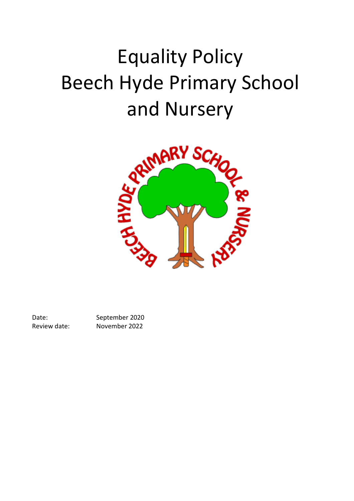## Equality Policy Beech Hyde Primary School



Date: September 2020 Review date: November 2022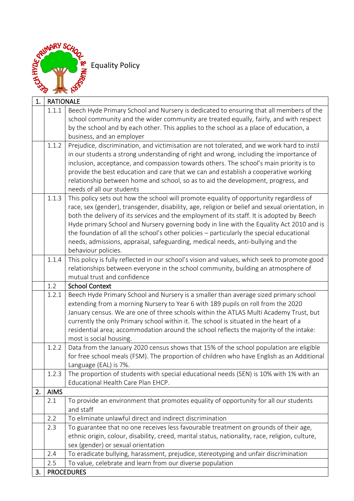

Equality Policy

| 1. | <b>RATIONALE</b> |                                                                                                                                                   |
|----|------------------|---------------------------------------------------------------------------------------------------------------------------------------------------|
|    | 1.1.1            | Beech Hyde Primary School and Nursery is dedicated to ensuring that all members of the                                                            |
|    |                  | school community and the wider community are treated equally, fairly, and with respect                                                            |
|    |                  | by the school and by each other. This applies to the school as a place of education, a<br>business, and an employer                               |
|    | 1.1.2            | Prejudice, discrimination, and victimisation are not tolerated, and we work hard to instil                                                        |
|    |                  | in our students a strong understanding of right and wrong, including the importance of                                                            |
|    |                  | inclusion, acceptance, and compassion towards others. The school's main priority is to                                                            |
|    |                  | provide the best education and care that we can and establish a cooperative working                                                               |
|    |                  | relationship between home and school, so as to aid the development, progress, and                                                                 |
|    |                  | needs of all our students                                                                                                                         |
|    | 1.1.3            | This policy sets out how the school will promote equality of opportunity regardless of                                                            |
|    |                  | race, sex (gender), transgender, disability, age, religion or belief and sexual orientation, in                                                   |
|    |                  | both the delivery of its services and the employment of its staff. It is adopted by Beech                                                         |
|    |                  | Hyde primary School and Nursery governing body in line with the Equality Act 2010 and is                                                          |
|    |                  | the foundation of all the school's other policies - particularly the special educational                                                          |
|    |                  | needs, admissions, appraisal, safeguarding, medical needs, anti-bullying and the<br>behaviour policies.                                           |
|    | 1.1.4            | This policy is fully reflected in our school's vision and values, which seek to promote good                                                      |
|    |                  | relationships between everyone in the school community, building an atmosphere of                                                                 |
|    |                  | mutual trust and confidence                                                                                                                       |
|    | 1.2              | <b>School Context</b>                                                                                                                             |
|    | 1.2.1            | Beech Hyde Primary School and Nursery is a smaller than average sized primary school                                                              |
|    |                  | extending from a morning Nursery to Year 6 with 189 pupils on roll from the 2020                                                                  |
|    |                  | January census. We are one of three schools within the ATLAS Multi Academy Trust, but                                                             |
|    |                  | currently the only Primary school within it. The school is situated in the heart of a                                                             |
|    |                  | residential area; accommodation around the school reflects the majority of the intake:                                                            |
|    | 1.2.2            | most is social housing.<br>Data from the January 2020 census shows that 15% of the school population are eligible                                 |
|    |                  | for free school meals (FSM). The proportion of children who have English as an Additional                                                         |
|    |                  | Language (EAL) is 7%.                                                                                                                             |
|    | 1.2.3            | The proportion of students with special educational needs (SEN) is 10% with 1% with an                                                            |
|    |                  | Educational Health Care Plan EHCP.                                                                                                                |
| 2. | <b>AIMS</b>      |                                                                                                                                                   |
|    | 2.1              | To provide an environment that promotes equality of opportunity for all our students                                                              |
|    |                  | and staff                                                                                                                                         |
|    | 2.2              | To eliminate unlawful direct and indirect discrimination                                                                                          |
|    | 2.3              | To guarantee that no one receives less favourable treatment on grounds of their age,                                                              |
|    |                  | ethnic origin, colour, disability, creed, marital status, nationality, race, religion, culture,                                                   |
|    |                  | sex (gender) or sexual orientation                                                                                                                |
|    | 2.4              | To eradicate bullying, harassment, prejudice, stereotyping and unfair discrimination<br>To value, celebrate and learn from our diverse population |
| 3. | 2.5              | <b>PROCEDURES</b>                                                                                                                                 |
|    |                  |                                                                                                                                                   |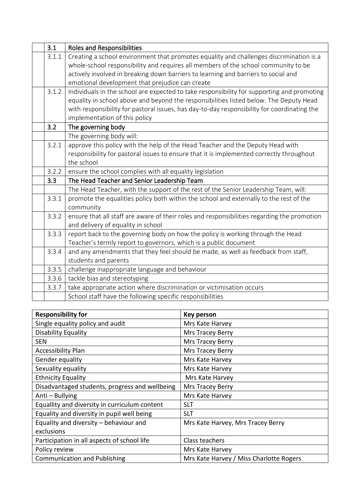| 3.1   | <b>Roles and Responsibilities</b>                                                           |
|-------|---------------------------------------------------------------------------------------------|
| 3.1.1 | Creating a school environment that promotes equality and challenges discrimination is a     |
|       | whole-school responsibility and requires all members of the school community to be          |
|       | actively involved in breaking down barriers to learning and barriers to social and          |
|       | emotional development that prejudice can create                                             |
| 3.1.2 | Individuals in the school are expected to take responsibility for supporting and promoting  |
|       | equality in school above and beyond the responsibilities listed below. The Deputy Head      |
|       | with responsibility for pastoral issues, has day-to-day responsibility for coordinating the |
|       | implementation of this policy                                                               |
| 3.2   | The governing body                                                                          |
|       | The governing body will:                                                                    |
| 3.2.1 | approve this policy with the help of the Head Teacher and the Deputy Head with              |
|       | responsibility for pastoral issues to ensure that it is implemented correctly throughout    |
|       | the school                                                                                  |
| 3.2.2 | ensure the school complies with all equality legislation                                    |
| 3.3   | The Head Teacher and Senior Leadership Team                                                 |
|       | The Head Teacher, with the support of the rest of the Senior Leadership Team, will:         |
| 3.3.1 | promote the equalities policy both within the school and externally to the rest of the      |
|       | community                                                                                   |
| 3.3.2 | ensure that all staff are aware of their roles and responsibilities regarding the promotion |
|       | and delivery of equality in school                                                          |
| 3.3.3 | report back to the governing body on how the policy is working through the Head             |
|       | Teacher's termly report to governors, which is a public document                            |
| 3.3.4 | and any amendments that they feel should be made, as well as feedback from staff,           |
|       | students and parents                                                                        |
| 3.3.5 | challenge inappropriate language and behaviour                                              |
| 3.3.6 | tackle bias and stereotyping                                                                |
| 3.3.7 | take appropriate action where discrimination or victimisation occurs                        |
|       | School staff have the following specific responsibilities                                   |

| <b>Responsibility for</b>                      | Key person                              |  |
|------------------------------------------------|-----------------------------------------|--|
| Single equality policy and audit               | Mrs Kate Harvey                         |  |
| Disability Equality                            | <b>Mrs Tracey Berry</b>                 |  |
| <b>SEN</b>                                     | Mrs Tracey Berry                        |  |
| <b>Accessibility Plan</b>                      | Mrs Tracey Berry                        |  |
| Gender equality                                | Mrs Kate Harvey                         |  |
| Sexuality equality                             | Mrs Kate Harvey                         |  |
| <b>Ethnicity Equality</b>                      | Mrs Kate Harvey                         |  |
| Disadvantaged students, progress and wellbeing | Mrs Tracey Berry                        |  |
| Anti - Bullying                                | Mrs Kate Harvey                         |  |
| Equallity and diversity in curriculum content  | <b>SLT</b>                              |  |
| Equality and diversity in pupil well being     | <b>SLT</b>                              |  |
| Equality and diversity - behaviour and         | Mrs Kate Harvey, Mrs Tracey Berry       |  |
| exclusions                                     |                                         |  |
| Participation in all aspects of school life    | Class teachers                          |  |
| Policy review                                  | Mrs Kate Harvey                         |  |
| <b>Communication and Publishing</b>            | Mrs Kate Harvey / Miss Charlotte Rogers |  |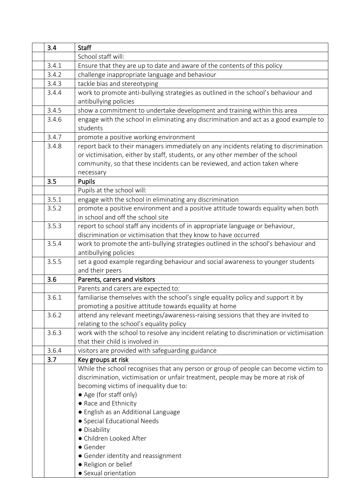| 3.4 |       | <b>Staff</b>                                                                             |
|-----|-------|------------------------------------------------------------------------------------------|
|     |       | School staff will:                                                                       |
|     | 3.4.1 | Ensure that they are up to date and aware of the contents of this policy                 |
|     | 3.4.2 | challenge inappropriate language and behaviour                                           |
|     | 3.4.3 | tackle bias and stereotyping                                                             |
|     | 3.4.4 | work to promote anti-bullying strategies as outlined in the school's behaviour and       |
|     |       | antibullying policies                                                                    |
|     | 3.4.5 | show a commitment to undertake development and training within this area                 |
|     | 3.4.6 | engage with the school in eliminating any discrimination and act as a good example to    |
|     |       | students                                                                                 |
|     | 3.4.7 | promote a positive working environment                                                   |
|     | 3.4.8 | report back to their managers immediately on any incidents relating to discrimination    |
|     |       | or victimisation, either by staff, students, or any other member of the school           |
|     |       | community, so that these incidents can be reviewed, and action taken where               |
|     |       | necessary                                                                                |
| 3.5 |       | Pupils                                                                                   |
|     |       | Pupils at the school will:                                                               |
|     | 3.5.1 | engage with the school in eliminating any discrimination                                 |
|     | 3.5.2 | promote a positive environment and a positive attitude towards equality when both        |
|     |       | in school and off the school site                                                        |
|     | 3.5.3 | report to school staff any incidents of in appropriate language or behaviour,            |
|     |       | discrimination or victimisation that they know to have occurred                          |
|     | 3.5.4 | work to promote the anti-bullying strategies outlined in the school's behaviour and      |
|     |       | antibullying policies                                                                    |
|     | 3.5.5 | set a good example regarding behaviour and social awareness to younger students          |
|     |       | and their peers                                                                          |
| 3.6 |       | Parents, carers and visitors                                                             |
|     |       | Parents and carers are expected to:                                                      |
|     | 3.6.1 | familiarise themselves with the school's single equality policy and support it by        |
|     |       | promoting a positive attitude towards equality at home                                   |
|     | 3.6.2 | attend any relevant meetings/awareness-raising sessions that they are invited to         |
|     |       | relating to the school's equality policy                                                 |
|     | 3.6.3 | work with the school to resolve any incident relating to discrimination or victimisation |
|     |       | that their child is involved in                                                          |
|     | 3.6.4 | visitors are provided with safeguarding guidance                                         |
| 3.7 |       | Key groups at risk                                                                       |
|     |       | While the school recognises that any person or group of people can become victim to      |
|     |       | discrimination, victimisation or unfair treatment, people may be more at risk of         |
|     |       | becoming victims of inequality due to:                                                   |
|     |       | • Age (for staff only)                                                                   |
|     |       | • Race and Ethnicity                                                                     |
|     |       | • English as an Additional Language                                                      |
|     |       | • Special Educational Needs                                                              |
|     |       | · Disability                                                                             |
|     |       | · Children Looked After                                                                  |
|     |       | • Gender                                                                                 |
|     |       | • Gender identity and reassignment                                                       |
|     |       | · Religion or belief                                                                     |
|     |       | • Sexual orientation                                                                     |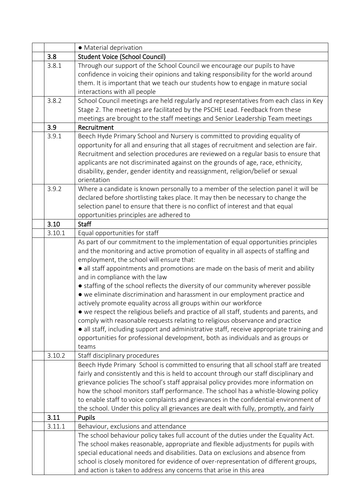|        | • Material deprivation                                                                                                                                                                                                                                                                                                                                                                                                                                                                                                                                                                                                                                                                                                                                                                                                                                                                                                                                     |
|--------|------------------------------------------------------------------------------------------------------------------------------------------------------------------------------------------------------------------------------------------------------------------------------------------------------------------------------------------------------------------------------------------------------------------------------------------------------------------------------------------------------------------------------------------------------------------------------------------------------------------------------------------------------------------------------------------------------------------------------------------------------------------------------------------------------------------------------------------------------------------------------------------------------------------------------------------------------------|
| 3.8    | <b>Student Voice (School Council)</b>                                                                                                                                                                                                                                                                                                                                                                                                                                                                                                                                                                                                                                                                                                                                                                                                                                                                                                                      |
| 3.8.1  | Through our support of the School Council we encourage our pupils to have<br>confidence in voicing their opinions and taking responsibility for the world around<br>them. It is important that we teach our students how to engage in mature social<br>interactions with all people                                                                                                                                                                                                                                                                                                                                                                                                                                                                                                                                                                                                                                                                        |
| 3.8.2  | School Council meetings are held regularly and representatives from each class in Key<br>Stage 2. The meetings are facilitated by the PSCHE Lead. Feedback from these<br>meetings are brought to the staff meetings and Senior Leadership Team meetings                                                                                                                                                                                                                                                                                                                                                                                                                                                                                                                                                                                                                                                                                                    |
| 3.9    | Recruitment                                                                                                                                                                                                                                                                                                                                                                                                                                                                                                                                                                                                                                                                                                                                                                                                                                                                                                                                                |
| 3.9.1  | Beech Hyde Primary School and Nursery is committed to providing equality of<br>opportunity for all and ensuring that all stages of recruitment and selection are fair.<br>Recruitment and selection procedures are reviewed on a regular basis to ensure that<br>applicants are not discriminated against on the grounds of age, race, ethnicity,<br>disability, gender, gender identity and reassignment, religion/belief or sexual<br>orientation                                                                                                                                                                                                                                                                                                                                                                                                                                                                                                        |
| 3.9.2  | Where a candidate is known personally to a member of the selection panel it will be<br>declared before shortlisting takes place. It may then be necessary to change the<br>selection panel to ensure that there is no conflict of interest and that equal<br>opportunities principles are adhered to                                                                                                                                                                                                                                                                                                                                                                                                                                                                                                                                                                                                                                                       |
| 3.10   | <b>Staff</b>                                                                                                                                                                                                                                                                                                                                                                                                                                                                                                                                                                                                                                                                                                                                                                                                                                                                                                                                               |
| 3.10.1 | Equal opportunities for staff                                                                                                                                                                                                                                                                                                                                                                                                                                                                                                                                                                                                                                                                                                                                                                                                                                                                                                                              |
|        | As part of our commitment to the implementation of equal opportunities principles<br>and the monitoring and active promotion of equality in all aspects of staffing and<br>employment, the school will ensure that:<br>• all staff appointments and promotions are made on the basis of merit and ability<br>and in compliance with the law<br>• staffing of the school reflects the diversity of our community wherever possible<br>• we eliminate discrimination and harassment in our employment practice and<br>actively promote equality across all groups within our workforce<br>• we respect the religious beliefs and practice of all staff, students and parents, and<br>comply with reasonable requests relating to religious observance and practice<br>· all staff, including support and administrative staff, receive appropriate training and<br>opportunities for professional development, both as individuals and as groups or<br>teams |
| 3.10.2 | Staff disciplinary procedures                                                                                                                                                                                                                                                                                                                                                                                                                                                                                                                                                                                                                                                                                                                                                                                                                                                                                                                              |
|        | Beech Hyde Primary School is committed to ensuring that all school staff are treated<br>fairly and consistently and this is held to account through our staff disciplinary and<br>grievance policies The school's staff appraisal policy provides more information on<br>how the school monitors staff performance. The school has a whistle-blowing policy<br>to enable staff to voice complaints and grievances in the confidential environment of<br>the school. Under this policy all grievances are dealt with fully, promptly, and fairly                                                                                                                                                                                                                                                                                                                                                                                                            |
| 3.11   | Pupils                                                                                                                                                                                                                                                                                                                                                                                                                                                                                                                                                                                                                                                                                                                                                                                                                                                                                                                                                     |
| 3.11.1 | Behaviour, exclusions and attendance                                                                                                                                                                                                                                                                                                                                                                                                                                                                                                                                                                                                                                                                                                                                                                                                                                                                                                                       |
|        | The school behaviour policy takes full account of the duties under the Equality Act.<br>The school makes reasonable, appropriate and flexible adjustments for pupils with<br>special educational needs and disabilities. Data on exclusions and absence from<br>school is closely monitored for evidence of over-representation of different groups,<br>and action is taken to address any concerns that arise in this area                                                                                                                                                                                                                                                                                                                                                                                                                                                                                                                                |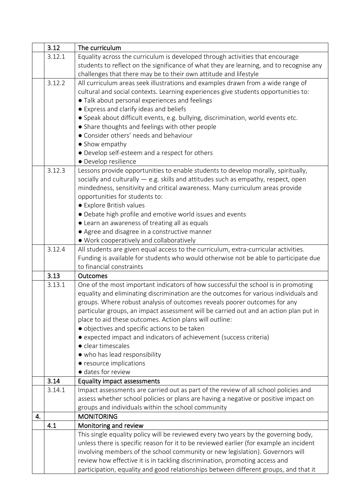|    | 3.12   | The curriculum                                                                          |
|----|--------|-----------------------------------------------------------------------------------------|
|    | 3.12.1 | Equality across the curriculum is developed through activities that encourage           |
|    |        | students to reflect on the significance of what they are learning, and to recognise any |
|    |        | challenges that there may be to their own attitude and lifestyle                        |
|    | 3.12.2 | All curriculum areas seek illustrations and examples drawn from a wide range of         |
|    |        | cultural and social contexts. Learning experiences give students opportunities to:      |
|    |        | • Talk about personal experiences and feelings                                          |
|    |        | • Express and clarify ideas and beliefs                                                 |
|    |        | • Speak about difficult events, e.g. bullying, discrimination, world events etc.        |
|    |        | • Share thoughts and feelings with other people                                         |
|    |        | • Consider others' needs and behaviour                                                  |
|    |        | • Show empathy                                                                          |
|    |        | • Develop self-esteem and a respect for others                                          |
|    |        | · Develop resilience                                                                    |
|    | 3.12.3 | Lessons provide opportunities to enable students to develop morally, spiritually,       |
|    |        | socially and culturally $-$ e.g. skills and attitudes such as empathy, respect, open    |
|    |        | mindedness, sensitivity and critical awareness. Many curriculum areas provide           |
|    |        | opportunities for students to:                                                          |
|    |        | • Explore British values                                                                |
|    |        | • Debate high profile and emotive world issues and events                               |
|    |        | • Learn an awareness of treating all as equals                                          |
|    |        | • Agree and disagree in a constructive manner                                           |
|    |        | • Work cooperatively and collaboratively                                                |
|    | 3.12.4 | All students are given equal access to the curriculum, extra-curricular activities.     |
|    |        | Funding is available for students who would otherwise not be able to participate due    |
|    |        | to financial constraints                                                                |
|    | 3.13   | <b>Outcomes</b>                                                                         |
|    | 3.13.1 | One of the most important indicators of how successful the school is in promoting       |
|    |        | equality and eliminating discrimination are the outcomes for various individuals and    |
|    |        | groups. Where robust analysis of outcomes reveals poorer outcomes for any               |
|    |        | particular groups, an impact assessment will be carried out and an action plan put in   |
|    |        | place to aid these outcomes. Action plans will outline:                                 |
|    |        | · objectives and specific actions to be taken                                           |
|    |        | • expected impact and indicators of achievement (success criteria)                      |
|    |        | • clear timescales                                                                      |
|    |        | • who has lead responsibility                                                           |
|    |        | • resource implications                                                                 |
|    |        | · dates for review                                                                      |
|    | 3.14   | <b>Equality impact assessments</b>                                                      |
|    | 3.14.1 | Impact assessments are carried out as part of the review of all school policies and     |
|    |        | assess whether school policies or plans are having a negative or positive impact on     |
|    |        | groups and individuals within the school community                                      |
| 4. |        | <b>MONITORING</b>                                                                       |
|    | 4.1    | Monitoring and review                                                                   |
|    |        | This single equality policy will be reviewed every two years by the governing body,     |
|    |        | unless there is specific reason for it to be reviewed earlier (for example an incident  |
|    |        | involving members of the school community or new legislation). Governors will           |
|    |        | review how effective it is in tackling discrimination, promoting access and             |
|    |        | participation, equality and good relationships between different groups, and that it    |